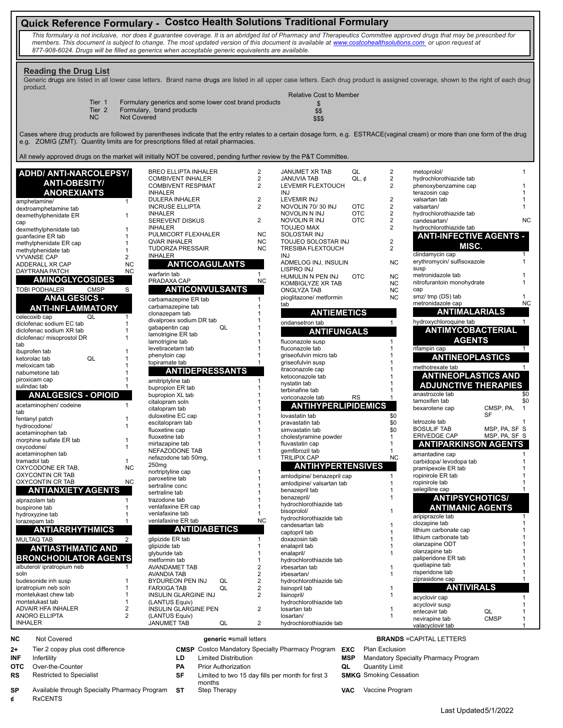# **Quick Reference Formulary - Costco Health Solutions Traditional Formulary**

*This formulary is not inclusive, nor does it guarantee coverage. It is an abridged list of Pharmacy and Therapeutics Committee approved drugs that may be prescribed for members. This document is subject to change. The most updated version of this document is available at www.costcohealthsolutions.com or upon request at 877-908-6024. Drugs will be filled as generics when acceptable generic equivalents are available.* 

### **Reading the Drug List**

Relative Cost to Member Generic drugs are listed in all lower case letters. Brand name drugs are listed in all upper case letters. Each drug product is assigned coverage, shown to the right of each drug product.

|                   |                                                       | Relative Cost to Member |
|-------------------|-------------------------------------------------------|-------------------------|
| Tier 1            | Formulary generics and some lower cost brand products |                         |
| Tier <sub>2</sub> | Formulary, brand products                             | \$\$                    |
| N <sub>C</sub>    | <b>Not Covered</b>                                    | \$\$\$                  |

Cases where drug products are followed by parentheses indicate that the entry relates to a certain dosage form, e.g. ESTRACE(vaginal cream) or more than one form of the drug e.g. ZOMIG (ZMT). Quantity limits are for prescriptions filled at retail pharmacies.

All newly approved drugs on the market will initially NOT be covered, pending further review by the P&T Committee.

| ADHD/ ANTI-NARCOLEPSY/                                 |                  | <b>BREO ELLIPTA INHALER</b>                           | $\overline{2}$                            | JANUMET XR TAB                            | QL         | $\overline{2}$      | metoprolol/                                     |               |                      |
|--------------------------------------------------------|------------------|-------------------------------------------------------|-------------------------------------------|-------------------------------------------|------------|---------------------|-------------------------------------------------|---------------|----------------------|
| <b>ANTI-OBESITY/</b>                                   |                  | <b>COMBIVENT INHALER</b><br><b>COMBIVENT RESPIMAT</b> | 2<br>2                                    | <b>JANUVIA TAB</b><br>LEVEMIR FLEXTOUCH   | $QL, \phi$ | 2<br>2              | hydrochlorothiazide tab<br>phenoxybenzamine cap |               |                      |
| <b>ANOREXIANTS</b>                                     |                  | <b>INHALER</b>                                        |                                           | <b>INJ</b>                                |            |                     | terazosin cap                                   |               |                      |
| amphetamine/                                           | $\mathbf{1}$     | DULERA INHALER                                        | $\overline{2}$                            | <b>LEVEMIR INJ</b>                        |            | $\overline{2}$      | valsartan tab                                   |               |                      |
| dextroamphetamine tab                                  |                  | <b>INCRUSE ELLIPTA</b>                                | 2                                         | NOVOLIN 70/30 INJ                         | <b>OTC</b> | $\overline{2}$      | valsartan/                                      |               | $\mathbf{1}$         |
| dexmethylphenidate ER                                  | $\mathbf{1}$     | <b>INHALER</b>                                        |                                           | NOVOLIN N INJ                             | <b>OTC</b> | $\overline{2}$      | hydrochlorothiazide tab                         |               |                      |
| cap                                                    |                  | <b>SEREVENT DISKUS</b>                                | 2                                         | NOVOLIN R INJ                             | <b>OTC</b> | 2                   | candesartan/                                    |               | <b>NC</b>            |
| dexmethylphenidate tab                                 |                  | <b>INHALER</b>                                        |                                           | <b>TOUJEO MAX</b>                         |            | $\overline{2}$      | hydrochlorothiazide tab                         |               |                      |
| guanfacine ER tab                                      |                  | PULMICORT FLEXHALER                                   | NC                                        | <b>SOLOSTAR INJ</b>                       |            |                     | <b>ANTI-INFECTIVE AGENTS -</b>                  |               |                      |
| methylphenidate ER cap                                 |                  | <b>QVAR INHALER</b>                                   | <b>NC</b>                                 | TOUJEO SOLOSTAR INJ                       |            | $\overline{2}$      | MISC.                                           |               |                      |
| methylphenidate tab                                    |                  | <b>TUDORZA PRESSAIR</b>                               | NC                                        | <b>TRESIBA FLEXTOUCH</b>                  |            | $\overline{2}$      |                                                 |               |                      |
| <b>VYVANSE CAP</b>                                     | $\overline{2}$   | <b>INHALER</b>                                        |                                           | <b>INJ</b>                                |            |                     | clindamycin cap<br>erythromycin/ sulfisoxazole  |               |                      |
| ADDERALL XR CAP                                        | <b>NC</b>        | <b>ANTICOAGULANTS</b>                                 |                                           | ADMELOG INJ, INSULIN<br>LISPRO INJ        |            | <b>NC</b>           | susp                                            |               |                      |
| DAYTRANA PATCH                                         | <b>NC</b>        | warfarin tab                                          | $\mathbf{1}$                              | HUMULIN N PEN INJ                         | <b>OTC</b> | <b>NC</b>           | metronidazole tab                               |               |                      |
| <b>AMINOGLYCOSIDES</b>                                 |                  | PRADAXA CAP                                           | <b>NC</b>                                 | KOMBIGLYZE XR TAB                         |            | <b>NC</b>           | nitrofurantoin monohydrate                      |               |                      |
| TOBI PODHALER                                          | <b>CMSP</b><br>S | ANTICONVULSANTS                                       |                                           | ONGLYZA TAB                               |            | <b>NC</b>           | cap                                             |               |                      |
| <b>ANALGESICS -</b>                                    |                  | carbamazepine ER tab                                  | 1                                         | pioglitazone/ metformin                   |            | <b>NC</b>           | smz/ tmp (DS) tab                               |               |                      |
|                                                        |                  | carbamazepine tab                                     |                                           | tab                                       |            |                     | metronidazole cap                               |               | <b>NC</b>            |
| <b>ANTI-INFLAMMATORY</b>                               |                  | clonazepam tab                                        |                                           | <b>ANTIEMETICS</b>                        |            |                     | <b>ANTIMALARIALS</b>                            |               |                      |
| celecoxib cap                                          | QL               | divalproex sodium DR tab                              |                                           | ondansetron tab                           |            | $\mathbf{1}$        | hydroxychloroquine tab                          |               | $\mathbf{1}$         |
| diclofenac sodium EC tab                               | 1                | QL<br>gabapentin cap                                  |                                           |                                           |            |                     |                                                 |               |                      |
| diclofenac sodium XR tab<br>diclofenac/ misoprostol DR |                  | lamotrigine ER tab                                    |                                           | <b>ANTIFUNGALS</b>                        |            |                     | ANTIMYCOBACTERIAL                               |               |                      |
| tab                                                    |                  | lamotrigine tab                                       |                                           | fluconazole susp                          |            |                     | <b>AGENTS</b>                                   |               |                      |
| ibuprofen tab                                          |                  | levetiracetam tab                                     |                                           | fluconazole tab                           |            |                     | rifampin cap                                    |               |                      |
| ketorolac tab                                          | QL               | phenytoin cap                                         |                                           | griseofulvin micro tab                    |            |                     | <b>ANTINEOPLASTICS</b>                          |               |                      |
| meloxicam tab                                          |                  | topiramate tab                                        |                                           | griseofulvin susp                         |            |                     | methotrexate tab                                |               |                      |
| nabumetone tab                                         |                  | <b>ANTIDEPRESSANTS</b>                                |                                           | itraconazole cap                          |            |                     | <b>ANTINEOPLASTICS AND</b>                      |               |                      |
| piroxicam cap                                          |                  | amitriptyline tab                                     |                                           | ketoconazole tab                          |            |                     |                                                 |               |                      |
| sulindac tab                                           |                  | bupropion ER tab                                      |                                           | nystatin tab<br>terbinafine tab           |            |                     | <b>ADJUNCTIVE THERAPIES</b>                     |               |                      |
| <b>ANALGESICS - OPIOID</b>                             |                  | bupropion XL tab                                      |                                           | voriconazole tab                          | <b>RS</b>  |                     | anastrozole tab                                 |               | \$0                  |
| acetaminophen/codeine                                  | $\mathbf{1}$     | citalopram soln                                       |                                           | <b>ANTIHYPERLIPIDEMICS</b>                |            |                     | tamoxifen tab                                   |               | \$0                  |
| tab                                                    |                  | citalopram tab                                        |                                           |                                           |            |                     | bexarotene cap                                  | CMSP, PA,     | $\mathbf{1}$         |
| fentanyl patch                                         |                  | duloxetine EC cap                                     |                                           | lovastatin tab                            |            | \$0                 |                                                 | SF            |                      |
| hydrocodone/                                           | 1                | escitalopram tab                                      |                                           | pravastatin tab                           |            | \$0                 | letrozole tab<br><b>BOSULIF TAB</b>             | MSP, PA, SF S |                      |
| acetaminophen tab                                      |                  | fluoxetine cap                                        |                                           | simvastatin tab                           |            | \$0<br>$\mathbf{1}$ | ERIVEDGE CAP                                    | MSP, PA, SF S |                      |
| morphine sulfate ER tab                                |                  | fluoxetine tab<br>mirtazapine tab                     |                                           | cholestyramine powder<br>fluvastatin cap  |            | 1                   |                                                 |               |                      |
| oxycodone/                                             | $\mathbf{1}$     | NEFAZODONE TAB                                        |                                           | gemfibrozil tab                           |            |                     | <b>ANTIPARKINSON AGENTS</b>                     |               |                      |
| acetaminophen tab                                      |                  | nefazodone tab 50mg,                                  |                                           | <b>TRILIPIX CAP</b>                       |            | <b>NC</b>           | amantadine cap                                  |               |                      |
| tramadol tab                                           | $\mathbf{1}$     | 250 <sub>mg</sub>                                     |                                           | <b>ANTIHYPERTENSIVES</b>                  |            |                     | carbidopa/ levodopa tab                         |               |                      |
| OXYCODONE ER TAB,                                      | <b>NC</b>        | nortriptyline cap                                     |                                           |                                           |            |                     | pramipexole ER tab                              |               |                      |
| OXYCONTIN CR TAB<br>OXYCONTIN CR TAB                   | <b>NC</b>        | paroxetine tab                                        |                                           | amlodipine/ benazepril cap                |            | $\mathbf{1}$        | ropinirole ER tab                               |               |                      |
|                                                        |                  | sertraline conc                                       |                                           | amlodipine/ valsartan tab                 |            | 1                   | ropinirole tab<br>selegiline cap                |               |                      |
| <b>ANTIANXIETY AGENTS</b>                              |                  | sertraline tab                                        |                                           | benazepril tab<br>benazepril/             |            |                     |                                                 |               |                      |
| alprazolam tab                                         |                  | trazodone tab                                         |                                           | hydrochlorothiazide tab                   |            |                     | <b>ANTIPSYCHOTICS/</b>                          |               |                      |
| buspirone tab                                          |                  | venlafaxine ER cap                                    |                                           | bisoprolol/                               |            |                     | <b>ANTIMANIC AGENTS</b>                         |               |                      |
| hydroxyzine tab                                        |                  | venlafaxine tab                                       | <b>NC</b>                                 | hydrochlorothiazide tab                   |            |                     | aripiprazole tab                                |               |                      |
| lorazepam tab                                          |                  | venlafaxine ER tab                                    |                                           | candesartan tab                           |            |                     | clozapine tab                                   |               |                      |
| <b>ANTIARRHYTHMICS</b>                                 |                  | <b>ANTIDIABETICS</b>                                  |                                           | captopril tab                             |            |                     | lithium carbonate cap                           |               |                      |
| <b>MULTAQ TAB</b>                                      |                  | glipizide ER tab                                      | 1                                         | doxazosin tab                             |            |                     | lithium carbonate tab                           |               |                      |
| <b>ANTIASTHMATIC AND</b>                               |                  | glipizide tab                                         | 1                                         | enalapril tab                             |            |                     | olanzapine ODT                                  |               |                      |
|                                                        |                  | glyburide tab                                         |                                           | enalapril/                                |            |                     | olanzapine tab<br>paliperidone ER tab           |               |                      |
| BRONCHODILATOR AGENTS                                  |                  | metformin tab                                         | $\overline{1}$                            | hydrochlorothiazide tab                   |            |                     | quetiapine tab                                  |               |                      |
| albuterol/ ipratropium neb                             |                  | AVANDAMET TAB                                         | $\overline{2}$                            | irbesartan tab                            |            |                     | risperidone tab                                 |               |                      |
| soln<br>budesonide inh susp                            |                  | <b>AVANDIA TAB</b><br>QL                              | $\overline{2}$                            | irbesartan/                               |            |                     | ziprasidone cap                                 |               |                      |
| ipratropium neb soln                                   |                  | BYDUREON PEN INJ<br><b>FARXIGA TAB</b><br>QL          | $\overline{\mathbf{c}}$<br>$\overline{2}$ | hydrochlorothiazide tab<br>lisinopril tab |            |                     | <b>ANTIVIRALS</b>                               |               |                      |
| montelukast chew tab                                   |                  | <b>INSULIN GLARGINE INJ</b>                           | 2                                         | lisinopril/                               |            |                     |                                                 |               |                      |
| montelukast tab                                        |                  | (LANTUS Equiv)                                        |                                           | hydrochlorothiazide tab                   |            |                     | acyclovir cap                                   |               |                      |
| ADVAIR HFA INHALER                                     | 2                | INSULIN GLARGINE PEN                                  | $\overline{2}$                            | losartan tab                              |            | 1                   | acyclovir susp<br>entecavir tab                 | QL            | $\blacktriangleleft$ |
| ANORO ELLIPTA                                          | $\overline{2}$   | (LANTUS Equiv)                                        |                                           | losartan/                                 |            | 1                   | nevirapine tab                                  | <b>CMSP</b>   | $\mathbf{1}$         |
| <b>INHALER</b>                                         |                  | <b>JANUMET TAB</b><br>QL                              | $\overline{2}$                            | hydrochlorothiazide tab                   |            |                     | valacyclovir tab                                |               | $\mathbf{1}$         |
| h<br>Not Covered                                       |                  | generic = small letters                               |                                           |                                           |            |                     | <b>BRANDS = CAPITAL LETTERS</b>                 |               |                      |

| שע  | <b>NOL COVERED</b>                |
|-----|-----------------------------------|
| 2+  | Tier 2 copay plus cost difference |
| INF | Infertility                       |
| отс | Over-the-Counter                  |
| RS  | <b>Restricted to Specialist</b>   |
|     |                                   |

**SP** Available through Specialty Pharmacy Program **ST** Step Therapy **VAC** Vaccine Program

**¢** RxCENTS

- **2 CMSP** Costco Mandatory Specialty Pharmacy Program **EXC** Plan Exclusion
	-
- **SF** Limited to two 15 day fills per month for first 3 months

**ILD** Limited Distribution **MSP** Mandatory Specialty Pharmacy Program **PA** Prior Authorization **PA** QL Quantity Limit **SMKG** Smoking Cessation